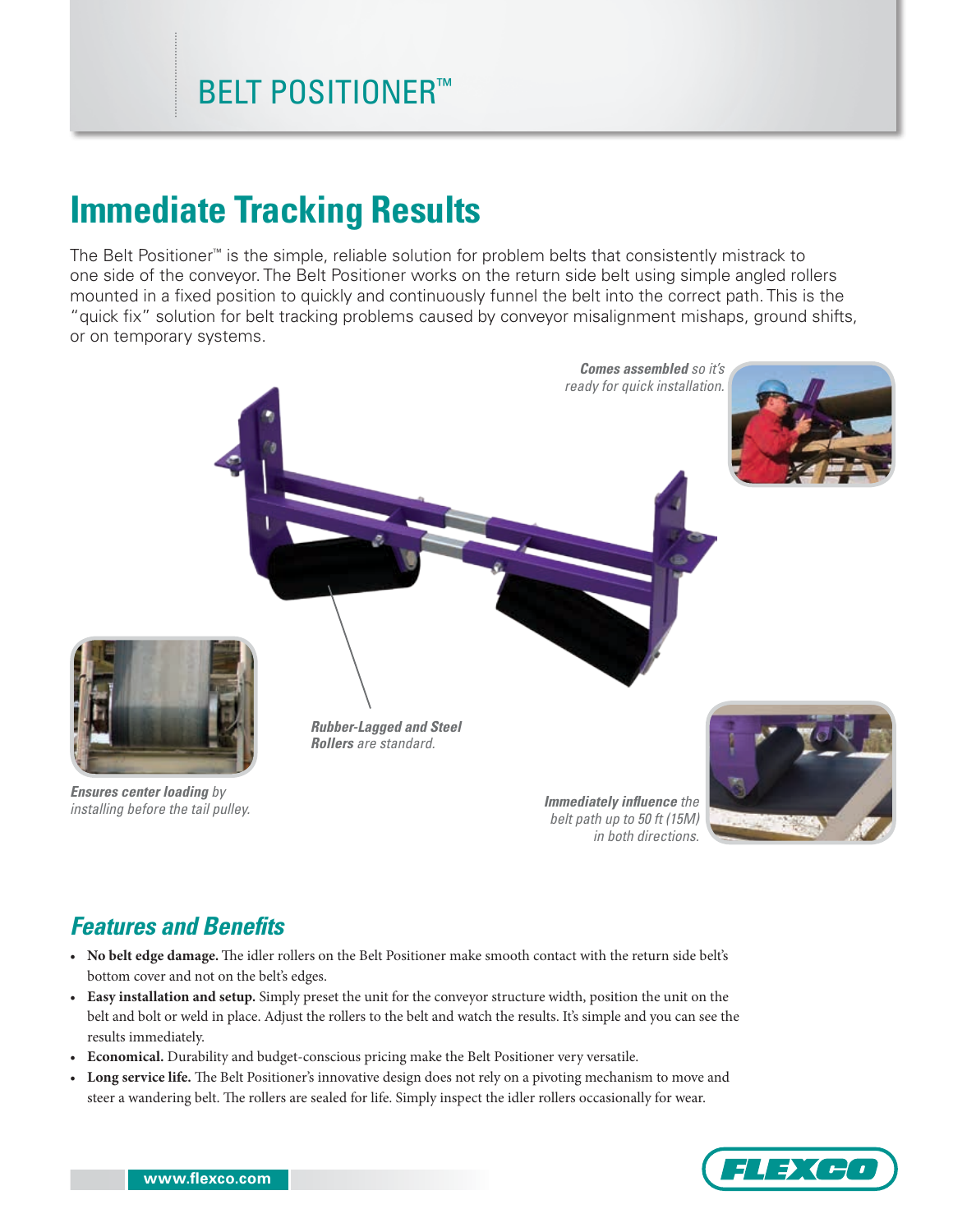# **Immediate Tracking Results**

The Belt Positioner™ is the simple, reliable solution for problem belts that consistently mistrack to one side of the conveyor. The Belt Positioner works on the return side belt using simple angled rollers mounted in a fixed position to quickly and continuously funnel the belt into the correct path. This is the "quick fix" solution for belt tracking problems caused by conveyor misalignment mishaps, ground shifts, or on temporary systems.



*installing before the tail pulley.*

*Immediately influence the belt path up to 50 ft (15M) in both directions.*

## *Features and Benefits*

- **No belt edge damage.** The idler rollers on the Belt Positioner make smooth contact with the return side belt's bottom cover and not on the belt's edges.
- **Easy installation and setup.** Simply preset the unit for the conveyor structure width, position the unit on the belt and bolt or weld in place. Adjust the rollers to the belt and watch the results. It's simple and you can see the results immediately.
- **Economical.** Durability and budget-conscious pricing make the Belt Positioner very versatile.
- **Long service life.** The Belt Positioner's innovative design does not rely on a pivoting mechanism to move and steer a wandering belt. The rollers are sealed for life. Simply inspect the idler rollers occasionally for wear.